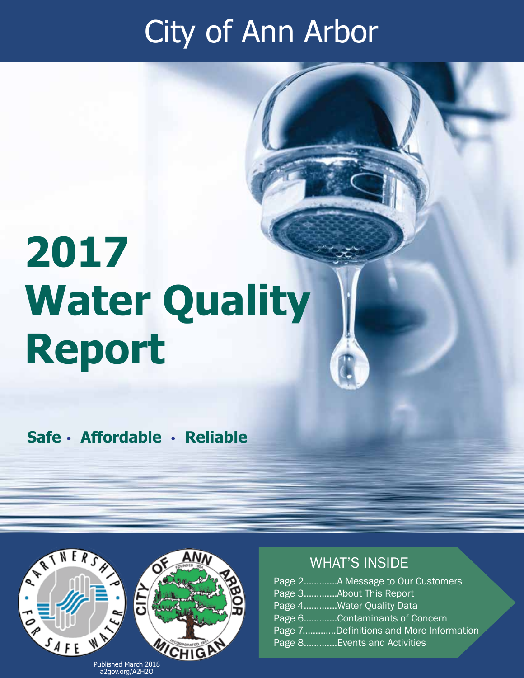## City of Ann Arbor

# **2017 Water Quality Report**

**Safe** • **Affordable** • **Reliable** 



#### WHAT'S INSIDE

|  | Page 2A Message to Our Customers       |
|--|----------------------------------------|
|  | Page 3About This Report                |
|  | Page 4Water Quality Data               |
|  | Page 6Contaminants of Concern          |
|  | Page 7Definitions and More Information |
|  | Page 8Events and Activities            |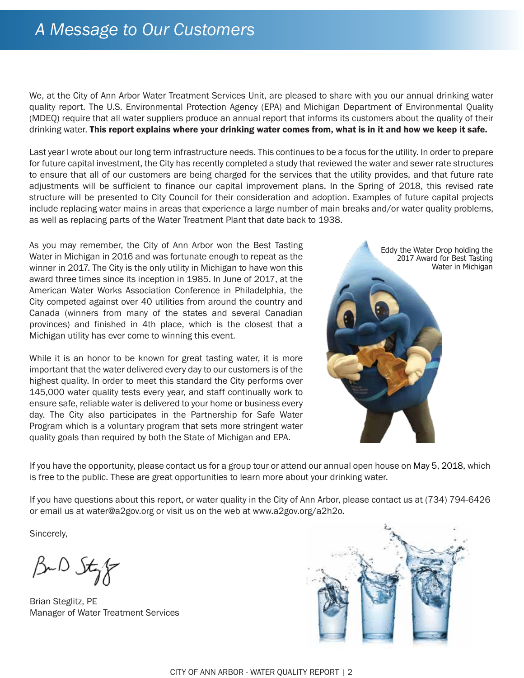### *A Message to Our Customers*

We, at the City of Ann Arbor Water Treatment Services Unit, are pleased to share with you our annual drinking water quality report. The U.S. Environmental Protection Agency (EPA) and Michigan Department of Environmental Quality (MDEQ) require that all water suppliers produce an annual report that informs its customers about the quality of their drinking water. This report explains where your drinking water comes from, what is in it and how we keep it safe.

Last year I wrote about our long term infrastructure needs. This continues to be a focus for the utility. In order to prepare for future capital investment, the City has recently completed a study that reviewed the water and sewer rate structures to ensure that all of our customers are being charged for the services that the utility provides, and that future rate adjustments will be sufficient to finance our capital improvement plans. In the Spring of 2018, this revised rate structure will be presented to City Council for their consideration and adoption. Examples of future capital projects include replacing water mains in areas that experience a large number of main breaks and/or water quality problems, as well as replacing parts of the Water Treatment Plant that date back to 1938.

As you may remember, the City of Ann Arbor won the Best Tasting Water in Michigan in 2016 and was fortunate enough to repeat as the winner in 2017. The City is the only utility in Michigan to have won this award three times since its inception in 1985. In June of 2017, at the American Water Works Association Conference in Philadelphia, the City competed against over 40 utilities from around the country and Canada (winners from many of the states and several Canadian provinces) and finished in 4th place, which is the closest that a Michigan utility has ever come to winning this event.

While it is an honor to be known for great tasting water, it is more important that the water delivered every day to our customers is of the highest quality. In order to meet this standard the City performs over 145,000 water quality tests every year, and staff continually work to ensure safe, reliable water is delivered to your home or business every day. The City also participates in the Partnership for Safe Water Program which is a voluntary program that sets more stringent water quality goals than required by both the State of Michigan and EPA.



If you have the opportunity, please contact us for a group tour or attend our annual open house on May 5, 2018, which is free to the public. These are great opportunities to learn more about your drinking water.

If you have questions about this report, or water quality in the City of Ann Arbor, please contact us at (734) 794-6426 or email us at water@a2gov.org or visit us on the web at www.a2gov.org/a2h2o*.*

Sincerely,

BuD Styr

Brian Steglitz, PE Manager of Water Treatment Services

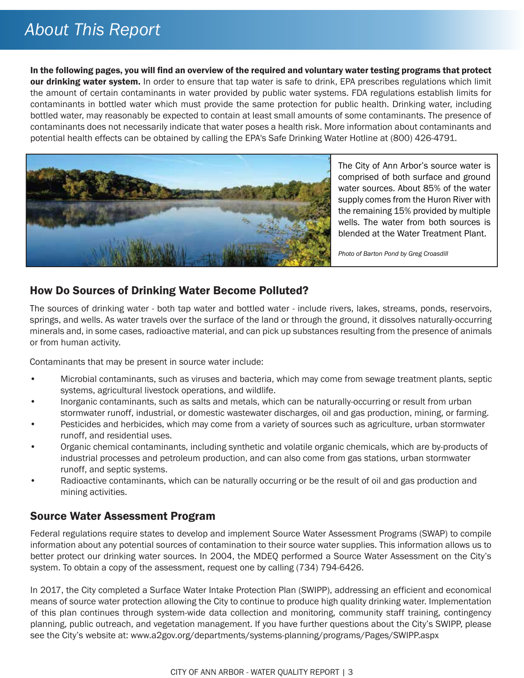## *About This Report*

In the following pages, you will find an overview of the required and voluntary water testing programs that protect our drinking water system. In order to ensure that tap water is safe to drink, EPA prescribes regulations which limit the amount of certain contaminants in water provided by public water systems. FDA regulations establish limits for contaminants in bottled water which must provide the same protection for public health. Drinking water, including bottled water, may reasonably be expected to contain at least small amounts of some contaminants. The presence of contaminants does not necessarily indicate that water poses a health risk. More information about contaminants and potential health effects can be obtained by calling the EPA's Safe Drinking Water Hotline at (800) 426-4791.



The City of Ann Arbor's source water is comprised of both surface and ground water sources. About 85% of the water supply comes from the Huron River with the remaining 15% provided by multiple wells. The water from both sources is blended at the Water Treatment Plant.

*Photo of Barton Pond by Greg Croasdill*

#### How Do Sources of Drinking Water Become Polluted?

The sources of drinking water - both tap water and bottled water - include rivers, lakes, streams, ponds, reservoirs, springs, and wells. As water travels over the surface of the land or through the ground, it dissolves naturally-occurring minerals and, in some cases, radioactive material, and can pick up substances resulting from the presence of animals or from human activity.

Contaminants that may be present in source water include:

- Microbial contaminants, such as viruses and bacteria, which may come from sewage treatment plants, septic systems, agricultural livestock operations, and wildlife.
- Inorganic contaminants, such as salts and metals, which can be naturally-occurring or result from urban stormwater runoff, industrial, or domestic wastewater discharges, oil and gas production, mining, or farming.
- Pesticides and herbicides, which may come from a variety of sources such as agriculture, urban stormwater runoff, and residential uses.
- Organic chemical contaminants, including synthetic and volatile organic chemicals, which are by-products of industrial processes and petroleum production, and can also come from gas stations, urban stormwater runoff, and septic systems.
- Radioactive contaminants, which can be naturally occurring or be the result of oil and gas production and mining activities.

#### Source Water Assessment Program

Federal regulations require states to develop and implement Source Water Assessment Programs (SWAP) to compile information about any potential sources of contamination to their source water supplies. This information allows us to better protect our drinking water sources. In 2004, the MDEQ performed a Source Water Assessment on the City's system. To obtain a copy of the assessment, request one by calling (734) 794-6426.

In 2017, the City completed a Surface Water Intake Protection Plan (SWIPP), addressing an efficient and economical means of source water protection allowing the City to continue to produce high quality drinking water. Implementation of this plan continues through system-wide data collection and monitoring, community staff training, contingency planning, public outreach, and vegetation management. If you have further questions about the City's SWIPP, please see the City's website at: www.a2gov.org/departments/systems-planning/programs/Pages/SWIPP.aspx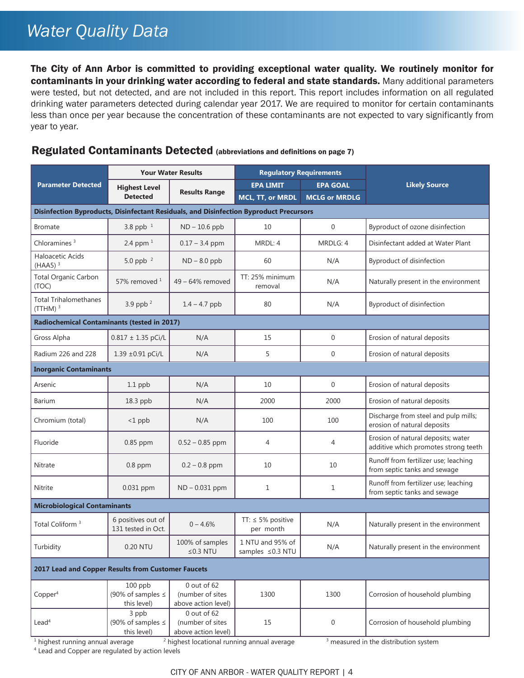## *Water Quality Data*

The City of Ann Arbor is committed to providing exceptional water quality. We routinely monitor for contaminants in your drinking water according to federal and state standards. Many additional parameters were tested, but not detected, and are not included in this report. This report includes information on all regulated drinking water parameters detected during calendar year 2017. We are required to monitor for certain contaminants less than once per year because the concentration of these contaminants are not expected to vary significantly from year to year.

#### **Parameter Detected Your Water Results Regulatory Requirements Likely Source Likely Source Likely Source Likely Source Detected Results Range EPA GOAL MCL, TT, or MRDL MCLG or MRDLG Disinfection Byproducts, Disinfectant Residuals, and Disinfection Byproduct Precursors** Bromate 3.8 ppb <sup>1</sup> ND – 10.6 ppb 10 0 Byproduct of ozone disinfection Chloramines<sup>3</sup> 2.4 ppm<sup>1</sup> 0.17 – 3.4 ppm MRDL: 4 MRDLG: 4 Disinfectant added at Water Plant Haloacetic Acids  $(HAA5)^3$  5.0 ppb <sup>2</sup> ND – 8.0 ppb 60 N/A Byproduct of disinfection Total Organic Carbon (TOC) 57% removed <sup>1</sup> <sup>49</sup> – 64% removed TT: 25% minimum TT: 25% minimum<br>removal N/A Naturally present in the environment Total Trihalomethanes TOtal Hinarchitectualies  $\begin{array}{|c|c|c|c|c|c|c|c|}\n\hline\n3.9 & ppb^2 & 1.4 & -4.7 & ppb & 80 & N/A & \text{Byproduct of disinfection}\n\hline\n\end{array}$ **Radiochemical Contaminants (tested in 2017)** Gross Alpha 0.817 ± 1.35 pCi/L N/A 15 0 Erosion of natural deposits Radium 226 and 228 1.39 ±0.91 pCi/L N/A 5 5 0 Erosion of natural deposits **Inorganic Contaminants** Arsenic 1.1 ppb N/A 10 10 0 Erosion of natural deposits Barium 18.3 ppb | N/A | 2000 | 2000 | Erosion of natural deposits Chromium (total) <1 ppb N/A 100 100 Discharge from steel and pulp mills; erosion of natural deposits Fluoride 1.0.85 ppm 0.52 – 0.85 ppm 4 4 Erosion of natural deposits; water additive which promotes strong teeth Nitrate 10 0.8 ppm 0.2 – 0.8 ppm 10 10 10 Runoff from fertilizer use; leaching from septic tanks and sewage Nitrite 1 0.031 ppm ND – 0.031 ppm 1 1 Runoff from fertilizer use; leaching from septic tanks and sewage **Microbiological Contaminants** Total Coliform<sup>3</sup> 6 positives out of 6 positives out of  $131$  tested in Oct. 0 – 4.6% TT:  $\leq$  5% positive  $N/A$  Naturally present in the environment Turbidity 0.20 NTU 100% of samples ≤0.3 NTU 1 NTU and 95% of  $\begin{array}{c|c}\n 1 \text{ N10 and } 95\% \text{ of } \\
\text{Samples } \leq 0.3 \text{ NTU}\n \end{array}$  N/A Naturally present in the environment **2017 Lead and Copper Results from Customer Faucets** Copper4 100 ppb (90% of samples ≤ this level) 0 out of 62 (number of sites above action level) 1300 1300 Corrosion of household plumbing Lead4 3 ppb (90% of samples  $\leq$ this level) 0 out of 62 (number of sites above action level) 15 0 0 Corrosion of household plumbing

#### Regulated Contaminants Detected (abbreviations and definitions on page 7)

<sup>1</sup> highest running annual average  $\frac{2}{3}$  highest locational running annual average  $\frac{3}{3}$  measured in the distribution system

<sup>4</sup> Lead and Copper are regulated by action levels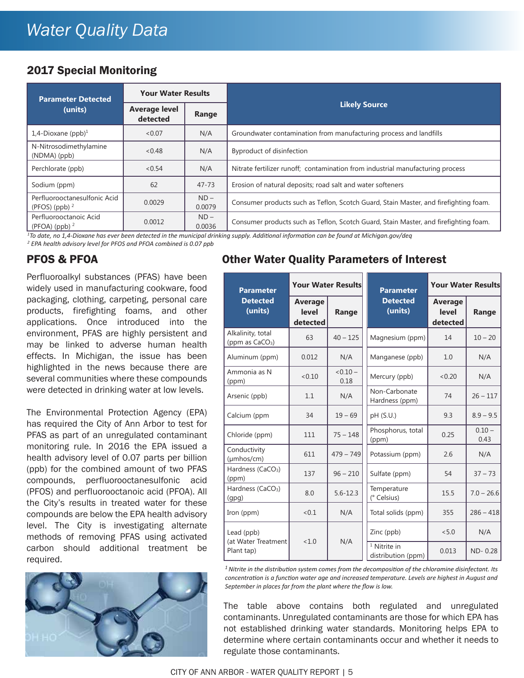## *Water Quality Data*

#### 2017 Special Monitoring

| <b>Parameter Detected</b>                        | <b>Your Water Results</b>                 |                  |                                                                                      |  |  |  |  |  |
|--------------------------------------------------|-------------------------------------------|------------------|--------------------------------------------------------------------------------------|--|--|--|--|--|
| (units)                                          | <b>Average level</b><br>Range<br>detected |                  | <b>Likely Source</b>                                                                 |  |  |  |  |  |
| 1,4-Dioxane (ppb) $1$                            | < 0.07                                    | N/A              | Groundwater contamination from manufacturing process and landfills                   |  |  |  |  |  |
| N-Nitrosodimethylamine<br>$(NDMA)$ $(ppb)$       | < 0.48                                    | N/A              | Byproduct of disinfection                                                            |  |  |  |  |  |
| Perchlorate (ppb)                                | < 0.54                                    | N/A              | Nitrate fertilizer runoff; contamination from industrial manufacturing process       |  |  |  |  |  |
| Sodium (ppm)                                     | 62                                        | $47 - 73$        | Erosion of natural deposits; road salt and water softeners                           |  |  |  |  |  |
| Perfluorooctanesulfonic Acid<br>(PFOS) (ppb) $2$ | 0.0029                                    | $ND -$<br>0.0079 | Consumer products such as Teflon, Scotch Guard, Stain Master, and firefighting foam. |  |  |  |  |  |
| Perfluorooctanoic Acid<br>(PFOA) (ppb) $2$       | 0.0012                                    | $ND -$<br>0.0036 | Consumer products such as Teflon, Scotch Guard, Stain Master, and firefighting foam. |  |  |  |  |  |

<sup>1</sup>To date, no 1,4-Dioxane has ever been detected in the municipal drinking supply. Additional information can be found at Michigan.gov/deq

*<sup>2</sup> EPA health advisory level for PFOS and PFOA combined is 0.07 ppb*

#### PFOS & PFOA

Perfluoroalkyl substances (PFAS) have been widely used in manufacturing cookware, food packaging, clothing, carpeting, personal care products, firefighting foams, and other applications. Once introduced into the environment, PFAS are highly persistent and may be linked to adverse human health effects. In Michigan, the issue has been highlighted in the news because there are several communities where these compounds were detected in drinking water at low levels.

The Environmental Protection Agency (EPA) has required the City of Ann Arbor to test for PFAS as part of an unregulated contaminant monitoring rule. In 2016 the EPA issued a health advisory level of 0.07 parts per billion (ppb) for the combined amount of two PFAS compounds, perfluorooctanesulfonic acid (PFOS) and perfluorooctanoic acid (PFOA). All the City's results in treated water for these compounds are below the EPA health advisory level. The City is investigating alternate methods of removing PFAS using activated carbon should additional treatment be required.



#### Other Water Quality Parameters of Interest

| <b>Parameter</b>                        | <b>Your Water Results</b>    |                    | <b>Parameter</b>                     | <b>Your Water Results</b>           |                  |  |
|-----------------------------------------|------------------------------|--------------------|--------------------------------------|-------------------------------------|------------------|--|
| <b>Detected</b><br>(units)              | Average<br>level<br>detected | Range              | <b>Detected</b><br>(units)           | <b>Average</b><br>level<br>detected | Range            |  |
| Alkalinity, total<br>(ppm as $CaCO3$ )  | 63                           | $40 - 125$         | Magnesium (ppm)                      | 14                                  | $10 - 20$        |  |
| Aluminum (ppm)                          | 0.012                        | N/A                | Manganese (ppb)                      | 1.0                                 | N/A              |  |
| Ammonia as N<br>(ppm)                   | < 0.10                       | $< 0.10 -$<br>0.18 | Mercury (ppb)                        | < 0.20                              | N/A              |  |
| Arsenic (ppb)                           | 1.1                          | N/A                | Non-Carbonate<br>Hardness (ppm)      | 74                                  | $26 - 117$       |  |
| Calcium (ppm                            | 34                           | $19 - 69$          | pH (S.U.)                            | 9.3                                 | $8.9 - 9.5$      |  |
| Chloride (ppm)                          | 111                          | $75 - 148$         | Phosphorus, total<br>(ppm)           | 0.25                                | $0.10 -$<br>0.43 |  |
| Conductivity<br>$(\mu m \text{hos/cm})$ | 611                          | $479 - 749$        | Potassium (ppm)                      | 2.6                                 | N/A              |  |
| Hardness (CaCO <sub>3</sub> )<br>(ppm)  | 137                          | $96 - 210$         | Sulfate (ppm)                        | 54                                  | $37 - 73$        |  |
| Hardness (CaCO <sub>3</sub> )<br>(qpq)  | 8.0                          | $5.6 - 12.3$       | Temperature<br>(° Celsius)           | 15.5                                | $7.0 - 26.6$     |  |
| Iron (ppm)                              | < 0.1                        | N/A                | Total solids (ppm)                   | 355                                 | $286 - 418$      |  |
| Lead (ppb)                              | <1.0                         |                    | Zinc (ppb)                           | < 5.0                               | N/A              |  |
| (at Water Treatment<br>Plant tap)       |                              | N/A                | $1$ Nitrite in<br>distribution (ppm) | 0.013                               | $ND - 0.28$      |  |

<sup>1</sup> Nitrite in the distribution system comes from the decomposition of the chloramine disinfectant. Its *concentration is a function water age and increased temperature. Levels are highest in August and September in places far from the plant where the flow is low.*

The table above contains both regulated and unregulated contaminants. Unregulated contaminants are those for which EPA has not established drinking water standards. Monitoring helps EPA to determine where certain contaminants occur and whether it needs to regulate those contaminants.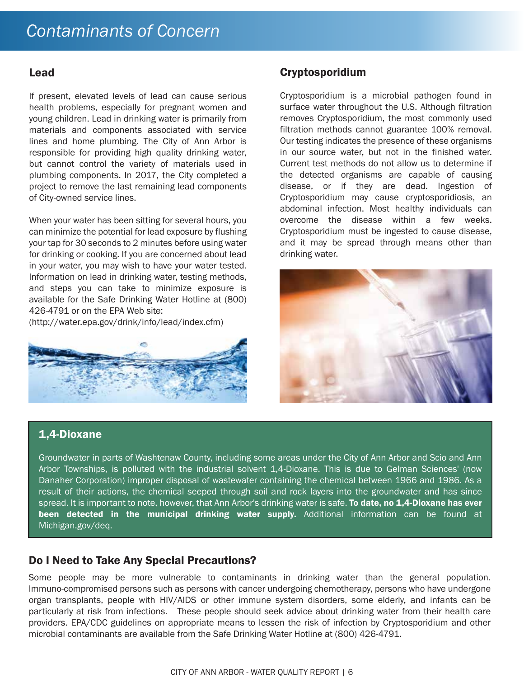#### Lead

If present, elevated levels of lead can cause serious health problems, especially for pregnant women and young children. Lead in drinking water is primarily from materials and components associated with service lines and home plumbing. The City of Ann Arbor is responsible for providing high quality drinking water, but cannot control the variety of materials used in plumbing components. In 2017, the City completed a project to remove the last remaining lead components of City-owned service lines.

When your water has been sitting for several hours, you can minimize the potential for lead exposure by flushing your tap for 30 seconds to 2 minutes before using water for drinking or cooking. If you are concerned about lead in your water, you may wish to have your water tested. Information on lead in drinking water, testing methods, and steps you can take to minimize exposure is available for the Safe Drinking Water Hotline at (800) 426-4791 or on the EPA Web site:

(http://water.epa.gov/drink/info/lead/index.cfm)



#### Cryptosporidium

Cryptosporidium is a microbial pathogen found in surface water throughout the U.S. Although filtration removes Cryptosporidium, the most commonly used filtration methods cannot guarantee 100% removal. Our testing indicates the presence of these organisms in our source water, but not in the finished water. Current test methods do not allow us to determine if the detected organisms are capable of causing disease, or if they are dead. Ingestion of Cryptosporidium may cause cryptosporidiosis, an abdominal infection. Most healthy individuals can overcome the disease within a few weeks. Cryptosporidium must be ingested to cause disease, and it may be spread through means other than drinking water.



#### 1,4-Dioxane

Groundwater in parts of Washtenaw County, including some areas under the City of Ann Arbor and Scio and Ann Arbor Townships, is polluted with the industrial solvent 1,4-Dioxane. This is due to Gelman Sciences' (now Danaher Corporation) improper disposal of wastewater containing the chemical between 1966 and 1986. As a result of their actions, the chemical seeped through soil and rock layers into the groundwater and has since spread. It is important to note, however, that Ann Arbor's drinking water is safe. To date, no 1,4-Dioxane has ever been detected in the municipal drinking water supply. Additional information can be found at Michigan.gov/deq.

#### Do I Need to Take Any Special Precautions?

Some people may be more vulnerable to contaminants in drinking water than the general population. Immuno-compromised persons such as persons with cancer undergoing chemotherapy, persons who have undergone organ transplants, people with HIV/AIDS or other immune system disorders, some elderly, and infants can be particularly at risk from infections. These people should seek advice about drinking water from their health care providers. EPA/CDC guidelines on appropriate means to lessen the risk of infection by Cryptosporidium and other microbial contaminants are available from the Safe Drinking Water Hotline at (800) 426-4791.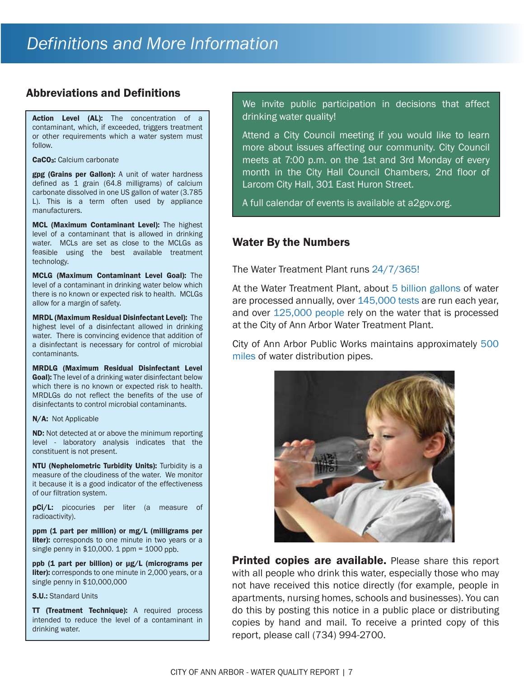#### Abbreviations and Definitions

Action Level (AL): The concentration of a contaminant, which, if exceeded, triggers treatment or other requirements which a water system must follow.

CaCO<sub>3</sub>: Calcium carbonate

gpg (Grains per Gallon): A unit of water hardness defined as 1 grain (64.8 milligrams) of calcium carbonate dissolved in one US gallon of water (3.785 L). This is a term often used by appliance manufacturers.

MCL (Maximum Contaminant Level): The highest level of a contaminant that is allowed in drinking water. MCLs are set as close to the MCLGs as feasible using the best available treatment technology.

MCLG (Maximum Contaminant Level Goal): The level of a contaminant in drinking water below which there is no known or expected risk to health. MCLGs allow for a margin of safety.

MRDL (Maximum Residual Disinfectant Level): The highest level of a disinfectant allowed in drinking water. There is convincing evidence that addition of a disinfectant is necessary for control of microbial contaminants.

MRDLG (Maximum Residual Disinfectant Level **Goal):** The level of a drinking water disinfectant below which there is no known or expected risk to health. MRDLGs do not reflect the benefits of the use of disinfectants to control microbial contaminants.

#### N/A: Not Applicable

ND: Not detected at or above the minimum reporting level - laboratory analysis indicates that the constituent is not present.

NTU (Nephelometric Turbidity Units): Turbidity is a measure of the cloudiness of the water. We monitor it because it is a good indicator of the effectiveness of our filtration system.

pCi/L: picocuries per liter (a measure of radioactivity).

ppm (1 part per million) or mg/L (milligrams per **liter):** corresponds to one minute in two years or a single penny in \$10,000. 1 ppm = 1000 ppb.

ppb (1 part per billion) or µg/L (micrograms per liter): corresponds to one minute in 2,000 years, or a single penny in \$10,000,000

S.U.: Standard Units

TT (Treatment Technique): A required process intended to reduce the level of a contaminant in drinking water.

We invite public participation in decisions that affect drinking water quality!

Attend a City Council meeting if you would like to learn more about issues affecting our community. City Council meets at 7:00 p.m. on the 1st and 3rd Monday of every month in the City Hall Council Chambers, 2nd floor of Larcom City Hall, 301 East Huron Street.

A full calendar of events is available at a2gov.org.

#### Water By the Numbers

The Water Treatment Plant runs 24/7/365!

At the Water Treatment Plant, about 5 billion gallons of water are processed annually, over 145,000 tests are run each year, and over 125,000 people rely on the water that is processed at the City of Ann Arbor Water Treatment Plant.

City of Ann Arbor Public Works maintains approximately 500 miles of water distribution pipes.



**Printed copies are available.** Please share this report with all people who drink this water, especially those who may not have received this notice directly (for example, people in apartments, nursing homes, schools and businesses). You can do this by posting this notice in a public place or distributing copies by hand and mail. To receive a printed copy of this report, please call (734) 994-2700.